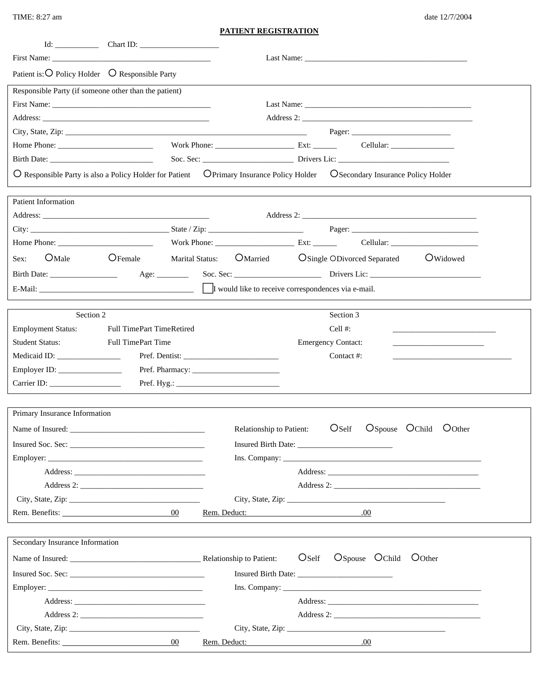TIME: 8:27 am

## **PATIENT REGISTRATION**

| First Name:                                                 |                                  |              |                          |                   |                                                                                                                                                                                                                                      |  |  |  |  |
|-------------------------------------------------------------|----------------------------------|--------------|--------------------------|-------------------|--------------------------------------------------------------------------------------------------------------------------------------------------------------------------------------------------------------------------------------|--|--|--|--|
| Patient is: O Policy Holder O Responsible Party             |                                  |              |                          |                   |                                                                                                                                                                                                                                      |  |  |  |  |
| Responsible Party (if someone other than the patient)       |                                  |              |                          |                   |                                                                                                                                                                                                                                      |  |  |  |  |
|                                                             |                                  |              |                          |                   |                                                                                                                                                                                                                                      |  |  |  |  |
|                                                             |                                  |              |                          |                   | Address 2:                                                                                                                                                                                                                           |  |  |  |  |
|                                                             |                                  |              |                          |                   |                                                                                                                                                                                                                                      |  |  |  |  |
|                                                             |                                  |              |                          |                   | Home Phone: <u>Collular: Collular: Collular: Collular: Collular: Collular: Collular: Collular: Collular: Collular: Collular: Collular: Collular: Collular: Collular: Collular: Collular: Collular: Collular: Collular: Collular:</u> |  |  |  |  |
|                                                             |                                  |              |                          |                   |                                                                                                                                                                                                                                      |  |  |  |  |
|                                                             |                                  |              |                          |                   | O Responsible Party is also a Policy Holder for Patient CPrimary Insurance Policy Holder CSecondary Insurance Policy Holder                                                                                                          |  |  |  |  |
| Patient Information                                         |                                  |              |                          |                   |                                                                                                                                                                                                                                      |  |  |  |  |
|                                                             |                                  |              |                          |                   |                                                                                                                                                                                                                                      |  |  |  |  |
|                                                             |                                  |              |                          |                   |                                                                                                                                                                                                                                      |  |  |  |  |
|                                                             |                                  |              |                          |                   |                                                                                                                                                                                                                                      |  |  |  |  |
| OMale<br>Sex:                                               | $\bigcirc$ Female                |              |                          |                   | Marital Status: OMarried CSingle ODivorced Separated CWidowed                                                                                                                                                                        |  |  |  |  |
|                                                             |                                  |              |                          |                   |                                                                                                                                                                                                                                      |  |  |  |  |
|                                                             |                                  |              |                          |                   |                                                                                                                                                                                                                                      |  |  |  |  |
|                                                             |                                  |              |                          |                   |                                                                                                                                                                                                                                      |  |  |  |  |
| Section 2                                                   |                                  |              |                          |                   | Section 3                                                                                                                                                                                                                            |  |  |  |  |
| <b>Employment Status:</b>                                   | <b>Full TimePart TimeRetired</b> |              |                          |                   | Cell #:                                                                                                                                                                                                                              |  |  |  |  |
| <b>Student Status:</b>                                      | <b>Full TimePart Time</b>        |              |                          |                   | <b>Emergency Contact:</b><br><u> 1989 - Johann John Stone, market fan it ferstjer fan it ferstjer fan it ferstjer fan it ferstjer fan it fers</u>                                                                                    |  |  |  |  |
|                                                             |                                  |              |                          |                   | Contact #:                                                                                                                                                                                                                           |  |  |  |  |
| Employer ID: $\_\_\_\_\_\_\_\_\_\_\_\_\_\_\_\_\_\_\_\_\_\_$ |                                  |              |                          |                   |                                                                                                                                                                                                                                      |  |  |  |  |
|                                                             |                                  |              |                          |                   |                                                                                                                                                                                                                                      |  |  |  |  |
|                                                             |                                  |              |                          |                   |                                                                                                                                                                                                                                      |  |  |  |  |
| Primary Insurance Information                               |                                  |              |                          |                   |                                                                                                                                                                                                                                      |  |  |  |  |
|                                                             |                                  |              | Relationship to Patient: |                   | OSpouse OChild OOther<br>O <sub>Self</sub>                                                                                                                                                                                           |  |  |  |  |
|                                                             |                                  |              |                          |                   |                                                                                                                                                                                                                                      |  |  |  |  |
|                                                             |                                  |              |                          |                   |                                                                                                                                                                                                                                      |  |  |  |  |
|                                                             |                                  |              |                          |                   |                                                                                                                                                                                                                                      |  |  |  |  |
|                                                             |                                  |              |                          |                   |                                                                                                                                                                                                                                      |  |  |  |  |
|                                                             |                                  |              |                          |                   |                                                                                                                                                                                                                                      |  |  |  |  |
| Rem. Benefits:                                              | 00 <sup>°</sup>                  | Rem. Deduct: |                          |                   | .00                                                                                                                                                                                                                                  |  |  |  |  |
|                                                             |                                  |              |                          |                   |                                                                                                                                                                                                                                      |  |  |  |  |
| Secondary Insurance Information                             |                                  |              |                          |                   |                                                                                                                                                                                                                                      |  |  |  |  |
|                                                             |                                  |              |                          | O <sub>Self</sub> | OSpouse OChild OOther                                                                                                                                                                                                                |  |  |  |  |
|                                                             |                                  |              |                          |                   |                                                                                                                                                                                                                                      |  |  |  |  |
| Employer:                                                   |                                  |              |                          |                   |                                                                                                                                                                                                                                      |  |  |  |  |
|                                                             |                                  |              |                          |                   |                                                                                                                                                                                                                                      |  |  |  |  |
|                                                             |                                  |              |                          |                   |                                                                                                                                                                                                                                      |  |  |  |  |
|                                                             |                                  |              |                          |                   |                                                                                                                                                                                                                                      |  |  |  |  |
| Rem. Benefits:                                              | $00\,$                           |              | Rem. Deduct:             |                   | .00.                                                                                                                                                                                                                                 |  |  |  |  |